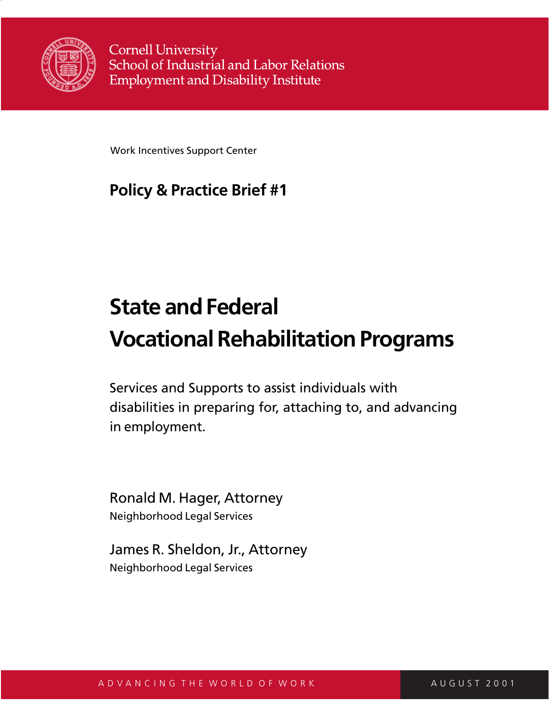

**Cornell University** School of Industrial and Labor Relations **Employment and Disability Institute** 

Work Incentives Support Center

## **Policy & Practice Brief #1**

# **State and Federal Vocational Rehabilitation Programs**

Services and Supports to assist individuals with disabilities in preparing for, attaching to, and advancing in employment.

Ronald M. Hager, Attorney Neighborhood Legal Services

James R. Sheldon, Jr., Attorney Neighborhood Legal Services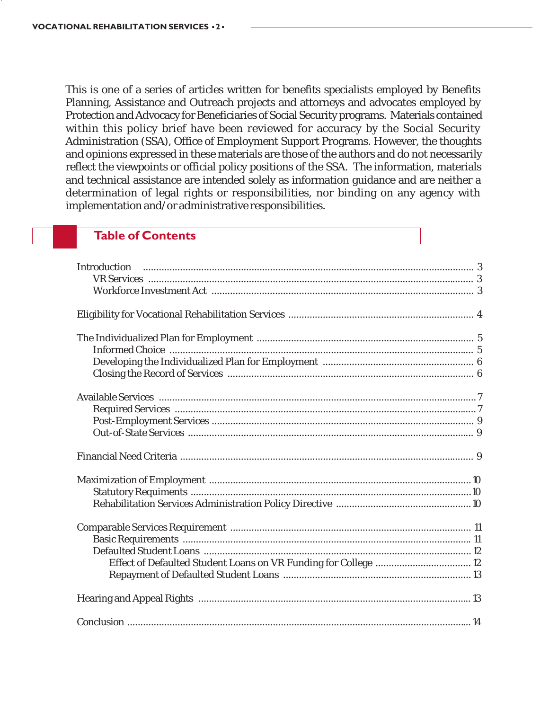This is one of a series of articles written for benefits specialists employed by Benefits Planning, Assistance and Outreach projects and attorneys and advocates employed by Protection and Advocacy for Beneficiaries of Social Security programs. Materials contained within this policy brief have been reviewed for accuracy by the Social Security Administration (SSA), Office of Employment Support Programs. However, the thoughts and opinions expressed in these materials are those of the authors and do not necessarily reflect the viewpoints or official policy positions of the SSA. The information, materials and technical assistance are intended solely as information guidance and are neither a determination of legal rights or responsibilities, nor binding on any agency with implementation and/or administrative responsibilities.

#### **Table of Contents**

| Introduction |  |
|--------------|--|
|              |  |
|              |  |
|              |  |
|              |  |
|              |  |
|              |  |
|              |  |
|              |  |
|              |  |
|              |  |
|              |  |
|              |  |
|              |  |
|              |  |
|              |  |
|              |  |
|              |  |
|              |  |
|              |  |
|              |  |
|              |  |
|              |  |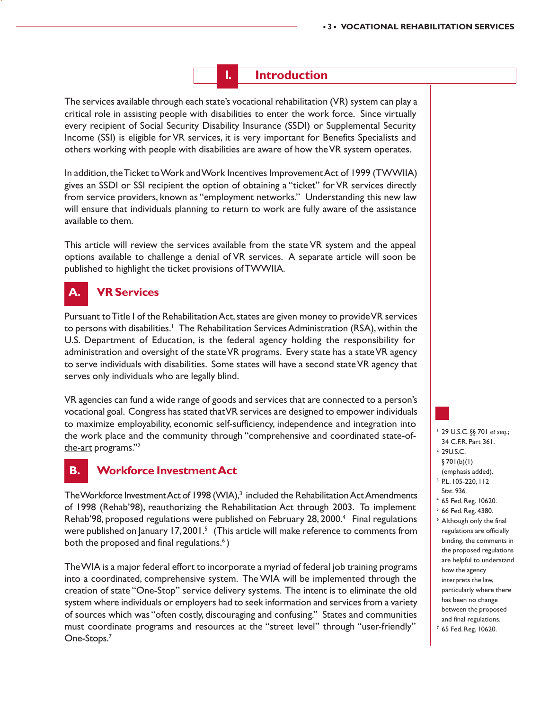#### **I. Introduction**

The services available through each state's vocational rehabilitation (VR) system can play a critical role in assisting people with disabilities to enter the work force. Since virtually every recipient of Social Security Disability Insurance (SSDI) or Supplemental Security Income (SSI) is eligible for VR services, it is very important for Benefits Specialists and others working with people with disabilities are aware of how the VR system operates.

In addition, the Ticket to Work and Work Incentives Improvement Act of 1999 (TWWIIA) gives an SSDI or SSI recipient the option of obtaining a "ticket" for VR services directly from service providers, known as "employment networks." Understanding this new law will ensure that individuals planning to return to work are fully aware of the assistance available to them.

This article will review the services available from the state VR system and the appeal options available to challenge a denial of VR services. A separate article will soon be published to highlight the ticket provisions of TWWIIA.

#### **A. VR Services**

Pursuant to Title I of the Rehabilitation Act, states are given money to provide VR services to persons with disabilities.<sup>1</sup> The Rehabilitation Services Administration (RSA), within the U.S. Department of Education, is the federal agency holding the responsibility for administration and oversight of the state VR programs. Every state has a state VR agency to serve individuals with disabilities. Some states will have a second state VR agency that serves only individuals who are legally blind.

VR agencies can fund a wide range of goods and services that are connected to a person's vocational goal. Congress has stated that VR services are designed to empower individuals to maximize employability, economic self-sufficiency, independence and integration into the work place and the community through "comprehensive and coordinated state-ofthe-art programs."2

#### **B. Workforce Investment Act**

The Workforce Investment Act of 1998 (WIA),<sup>3</sup> included the Rehabilitation Act Amendments of 1998 (Rehab'98), reauthorizing the Rehabilitation Act through 2003. To implement Rehab'98, proposed regulations were published on February 28, 2000.<sup>4</sup> Final regulations were published on January 17, 2001.<sup>5</sup> (This article will make reference to comments from both the proposed and final regulations.<sup>6</sup>)

The WIA is a major federal effort to incorporate a myriad of federal job training programs into a coordinated, comprehensive system. The WIA will be implemented through the creation of state "One-Stop" service delivery systems. The intent is to eliminate the old system where individuals or employers had to seek information and services from a variety of sources which was "often costly, discouraging and confusing." States and communities must coordinate programs and resources at the "street level" through "user-friendly" One-Stops.7

- 1 29 U.S.C. §§ 701 *et seq*.; 34 C.F.R. Part 361.
- 2 29U.S.C.
- § 701(b)(1)
- (emphasis added).
- 3 P.L. 105-220, 112
- Stat. 936.
- 4 65 Fed. Reg. 10620.
- 5 66 Fed. Reg. 4380.
- 6 Although only the final regulations are officially binding, the comments in the proposed regulations are helpful to understand how the agency interprets the law, particularly where there has been no change between the proposed and final regulations.

<sup>7</sup> 65 Fed. Reg. 10620.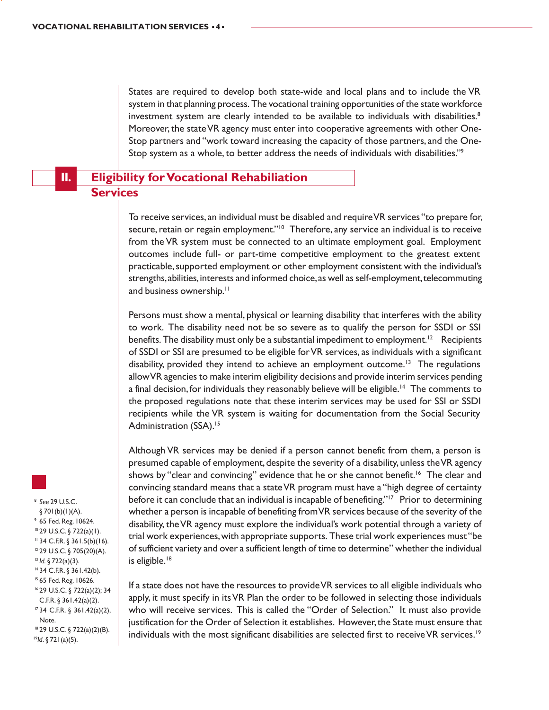States are required to develop both state-wide and local plans and to include the VR system in that planning process. The vocational training opportunities of the state workforce investment system are clearly intended to be available to individuals with disabilities. $8$ Moreover, the state VR agency must enter into cooperative agreements with other One-Stop partners and "work toward increasing the capacity of those partners, and the One-Stop system as a whole, to better address the needs of individuals with disabilities."9

#### **II. Eligibility for Vocational Rehabiliation Services**

To receive services, an individual must be disabled and require VR services "to prepare for, secure, retain or regain employment."<sup>10</sup> Therefore, any service an individual is to receive from the VR system must be connected to an ultimate employment goal. Employment outcomes include full- or part-time competitive employment to the greatest extent practicable, supported employment or other employment consistent with the individual's strengths, abilities, interests and informed choice, as well as self-employment, telecommuting and business ownership.<sup>11</sup>

Persons must show a mental, physical or learning disability that interferes with the ability to work. The disability need not be so severe as to qualify the person for SSDI or SSI benefits. The disability must only be a substantial impediment to employment.<sup>12</sup> Recipients of SSDI or SSI are presumed to be eligible for VR services, as individuals with a significant disability, provided they intend to achieve an employment outcome.<sup>13</sup> The regulations allow VR agencies to make interim eligibility decisions and provide interim services pending a final decision, for individuals they reasonably believe will be eligible.<sup>14</sup> The comments to the proposed regulations note that these interim services may be used for SSI or SSDI recipients while the VR system is waiting for documentation from the Social Security Administration (SSA).<sup>15</sup>

Although VR services may be denied if a person cannot benefit from them, a person is presumed capable of employment, despite the severity of a disability, unless the VR agency shows by "clear and convincing" evidence that he or she cannot benefit.<sup>16</sup> The clear and convincing standard means that a state VR program must have a "high degree of certainty before it can conclude that an individual is incapable of benefiting."<sup>17</sup> Prior to determining whether a person is incapable of benefiting from VR services because of the severity of the disability, the VR agency must explore the individual's work potential through a variety of trial work experiences, with appropriate supports. These trial work experiences must "be of sufficient variety and over a sufficient length of time to determine" whether the individual is eligible.<sup>18</sup>

If a state does not have the resources to provide VR services to all eligible individuals who apply, it must specify in its VR Plan the order to be followed in selecting those individuals who will receive services. This is called the "Order of Selection." It must also provide justification for the Order of Selection it establishes. However, the State must ensure that individuals with the most significant disabilities are selected first to receive VR services.<sup>19</sup>



<sup>8</sup> *See* 29 U.S.C.

 $§ 701(b)(1)(A).$ 9 65 Fed. Reg. 10624. 10 29 U.S.C. § 722(a)(1).  $11$  34 C.F.R. § 361.5(b)(16). 12 29 U.S.C. § 705(20)(A). <sup>13</sup> *Id.* § 722(a)(3). 14 34 C.F.R. § 361.42(b). 15 65 Fed. Reg. 10626. 16 29 U.S.C. § 722(a)(2); 34 C.F.R. § 361.42(a)(2). 17 34 C.F.R. § 361.42(a)(2), Note.

18 29 U.S.C. § 722(a)(2)(B). <sup>19</sup>*Id*. § 721(a)(5).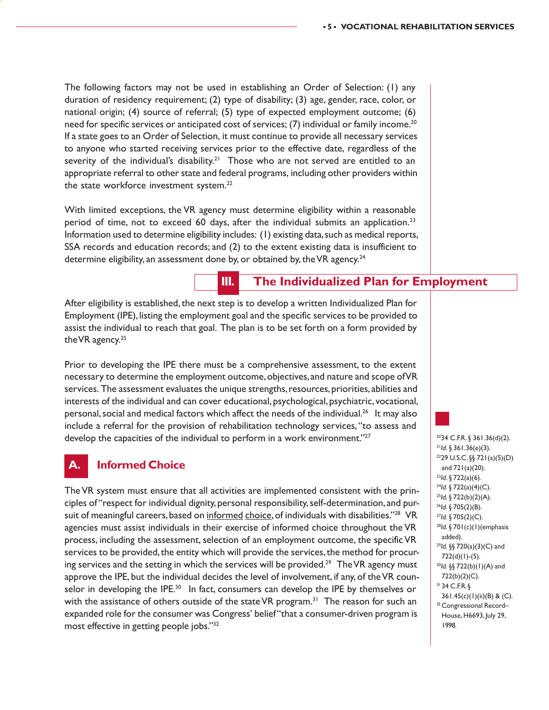The following factors may not be used in establishing an Order of Selection: (1) any duration of residency requirement; (2) type of disability; (3) age, gender, race, color, or national origin; (4) source of referral; (5) type of expected employment outcome; (6) need for specific services or anticipated cost of services; (7) individual or family income.<sup>20</sup> If a state goes to an Order of Selection, it must continue to provide all necessary services to anyone who started receiving services prior to the effective date, regardless of the severity of the individual's disability.<sup>21</sup> Those who are not served are entitled to an appropriate referral to other state and federal programs, including other providers within the state workforce investment system.<sup>22</sup>

With limited exceptions, the VR agency must determine eligibility within a reasonable period of time, not to exceed 60 days, after the individual submits an application.<sup>23</sup> Information used to determine eligibility includes: (1) existing data, such as medical reports, SSA records and education records; and (2) to the extent existing data is insufficient to determine eligibility, an assessment done by, or obtained by, the VR agency.<sup>24</sup>

#### **III. The Individualized Plan for Employment**

After eligibility is established, the next step is to develop a written Individualized Plan for Employment (IPE), listing the employment goal and the specific services to be provided to assist the individual to reach that goal. The plan is to be set forth on a form provided by the VR agency. $25$ 

Prior to developing the IPE there must be a comprehensive assessment, to the extent necessary to determine the employment outcome, objectives, and nature and scope of VR services. The assessment evaluates the unique strengths, resources, priorities, abilities and interests of the individual and can cover educational, psychological, psychiatric, vocational, personal, social and medical factors which affect the needs of the individual.<sup>26</sup> It may also include a referral for the provision of rehabilitation technology services, "to assess and develop the capacities of the individual to perform in a work environment."<sup>27</sup>

#### **A. Informed Choice**

The VR system must ensure that all activities are implemented consistent with the principles of "respect for individual dignity, personal responsibility, self-determination, and pursuit of meaningful careers, based on informed choice, of individuals with disabilities."<sup>28</sup> VR agencies must assist individuals in their exercise of informed choice throughout the VR process, including the assessment, selection of an employment outcome, the specific VR services to be provided, the entity which will provide the services, the method for procuring services and the setting in which the services will be provided.<sup>29</sup> The VR agency must approve the IPE, but the individual decides the level of involvement, if any, of the VR counselor in developing the IPE.<sup>30</sup> In fact, consumers can develop the IPE by themselves or with the assistance of others outside of the state VR program.<sup>31</sup> The reason for such an expanded role for the consumer was Congress' belief "that a consumer-driven program is most effective in getting people jobs."32

2034 C.F.R. § 361.36(d)(2). <sup>21</sup>*Id*. § 361.36(e)(3). 2229 U.S.C. §§ 721(a)(5)(D) and 721(a)(20). <sup>23</sup>*Id*. § 722(a)(6). <sup>24</sup>*Id.* § 722(a)(4)(C). <sup>25</sup>*Id.* § 722(b)(2)(A). <sup>26</sup>*Id.* § 705(2)(B). <sup>27</sup>*Id.* § 705(2)(C). <sup>28</sup>*Id.* § 701(c)(1)(emphasis added). <sup>29</sup>*Id.* §§ 720(a)(3)(C) and 722(d)(1)-(5). <sup>30</sup>*Id.* §§ 722(b)(1)(A) and 722(b)(2)(C). 31 34 C.F.R. § 361.45(c)(1)(ii)(B) & (C). <sup>32</sup> Congressional Record-House, H6693, July 29, 1998.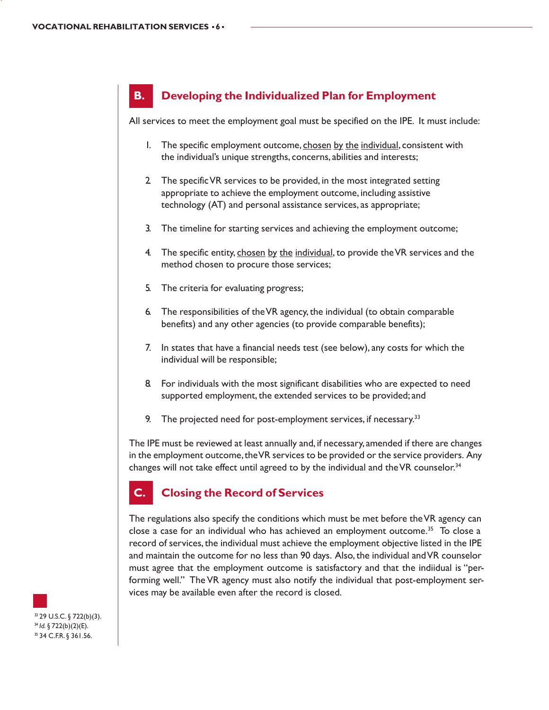### **B. Developing the Individualized Plan for Employment**

All services to meet the employment goal must be specified on the IPE. It must include:

- 1. The specific employment outcome, chosen by the individual, consistent with the individual's unique strengths, concerns, abilities and interests;
- 2. The specific VR services to be provided, in the most integrated setting appropriate to achieve the employment outcome, including assistive technology (AT) and personal assistance services, as appropriate;
- 3. The timeline for starting services and achieving the employment outcome;
- 4. The specific entity, chosen by the individual, to provide the VR services and the method chosen to procure those services;
- 5. The criteria for evaluating progress;
- 6. The responsibilities of the VR agency, the individual (to obtain comparable benefits) and any other agencies (to provide comparable benefits);
- 7. In states that have a financial needs test (see below), any costs for which the individual will be responsible;
- 8. For individuals with the most significant disabilities who are expected to need supported employment, the extended services to be provided; and
- 9. The projected need for post-employment services, if necessary.<sup>33</sup>

The IPE must be reviewed at least annually and, if necessary, amended if there are changes in the employment outcome, the VR services to be provided or the service providers. Any changes will not take effect until agreed to by the individual and the VR counselor.<sup>34</sup>

### **C. Closing the Record of Services**

The regulations also specify the conditions which must be met before the VR agency can close a case for an individual who has achieved an employment outcome.<sup>35</sup> To close a record of services, the individual must achieve the employment objective listed in the IPE and maintain the outcome for no less than 90 days. Also, the individual and VR counselor must agree that the employment outcome is satisfactory and that the indiidual is "performing well." The VR agency must also notify the individual that post-employment services may be available even after the record is closed.

33 29 U.S.C. § 722(b)(3). <sup>34</sup> *Id.* § 722(b)(2)(E). 35 34 C.F.R. § 361.56.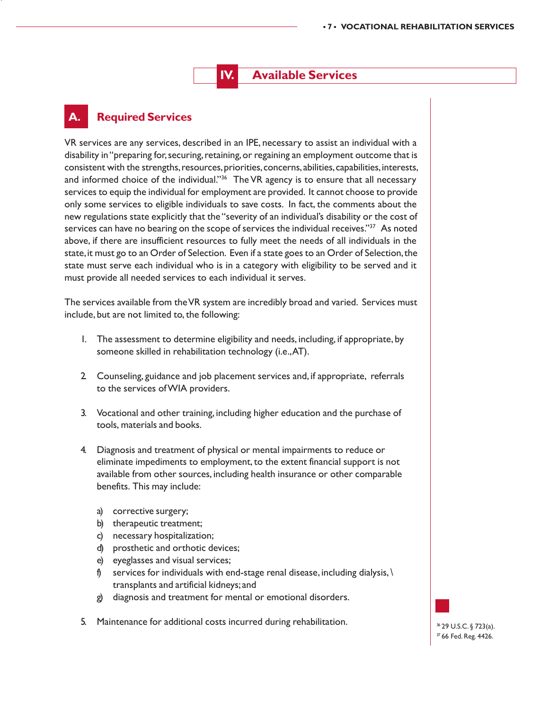### **Available Services**

#### **A. Required Services**

VR services are any services, described in an IPE, necessary to assist an individual with a disability in "preparing for, securing, retaining, or regaining an employment outcome that is consistent with the strengths, resources, priorities, concerns, abilities, capabilities, interests, and informed choice of the individual."<sup>36</sup> The VR agency is to ensure that all necessary services to equip the individual for employment are provided. It cannot choose to provide only some services to eligible individuals to save costs. In fact, the comments about the new regulations state explicitly that the "severity of an individual's disability or the cost of services can have no bearing on the scope of services the individual receives."<sup>37</sup> As noted above, if there are insufficient resources to fully meet the needs of all individuals in the state, it must go to an Order of Selection. Even if a state goes to an Order of Selection, the state must serve each individual who is in a category with eligibility to be served and it must provide all needed services to each individual it serves.

The services available from the VR system are incredibly broad and varied. Services must include, but are not limited to, the following:

- 1. The assessment to determine eligibility and needs, including, if appropriate, by someone skilled in rehabilitation technology (i.e., AT).
- 2. Counseling, guidance and job placement services and, if appropriate, referrals to the services of WIA providers.
- 3. Vocational and other training, including higher education and the purchase of tools, materials and books.
- 4. Diagnosis and treatment of physical or mental impairments to reduce or eliminate impediments to employment, to the extent financial support is not available from other sources, including health insurance or other comparable benefits. This may include:
	- a) corrective surgery;
	- b) therapeutic treatment;
	- c) necessary hospitalization;
	- d) prosthetic and orthotic devices;
	- e) eyeglasses and visual services;
	- f) services for individuals with end-stage renal disease, including dialysis,  $\langle$ transplants and artificial kidneys; and
	- g) diagnosis and treatment for mental or emotional disorders.
- 5. Maintenance for additional costs incurred during rehabilitation.

36 29 U.S.C. § 723(a). 37 66 Fed. Reg. 4426.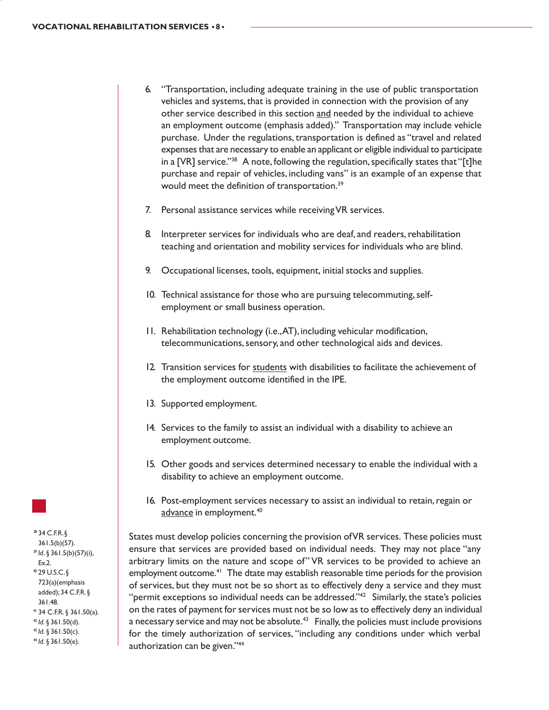- 6. "Transportation, including adequate training in the use of public transportation vehicles and systems, that is provided in connection with the provision of any other service described in this section and needed by the individual to achieve an employment outcome (emphasis added)." Transportation may include vehicle purchase. Under the regulations, transportation is defined as "travel and related expenses that are necessary to enable an applicant or eligible individual to participate in a [VR] service."<sup>38</sup> A note, following the regulation, specifically states that "[t]he purchase and repair of vehicles, including vans" is an example of an expense that would meet the definition of transportation.<sup>39</sup>
- 7. Personal assistance services while receiving VR services.
- 8. Interpreter services for individuals who are deaf, and readers, rehabilitation teaching and orientation and mobility services for individuals who are blind.
- 9. Occupational licenses, tools, equipment, initial stocks and supplies.
- 10. Technical assistance for those who are pursuing telecommuting, selfemployment or small business operation.
- 11. Rehabilitation technology (i.e., AT), including vehicular modification, telecommunications, sensory, and other technological aids and devices.
- 12. Transition services for students with disabilities to facilitate the achievement of the employment outcome identified in the IPE.
- 13. Supported employment.
- 14. Services to the family to assist an individual with a disability to achieve an employment outcome.
- 15. Other goods and services determined necessary to enable the individual with a disability to achieve an employment outcome.
- 16. Post-employment services necessary to assist an individual to retain, regain or advance in employment.<sup>40</sup>

States must develop policies concerning the provision of VR services. These policies must ensure that services are provided based on individual needs. They may not place "any arbitrary limits on the nature and scope of" VR services to be provided to achieve an employment outcome.<sup>41</sup> The dtate may establish reasonable time periods for the provision of services, but they must not be so short as to effectively deny a service and they must "permit exceptions so individual needs can be addressed."<sup>42</sup> Similarly, the state's policies on the rates of payment for services must not be so low as to effectively deny an individual a necessary service and may not be absolute.<sup>43</sup> Finally, the policies must include provisions for the timely authorization of services, "including any conditions under which verbal authorization can be given."44

38 34 C.F.R. § 361.5(b)(57). <sup>39</sup> *Id*. § 361.5(b)(57)(i), Ex.2. 40 29 U.S.C. § 723(a)(emphasis added); 34 C.F.R. § 361.48. 41 34 C.F.R. § 361.50(a). <sup>42</sup> *Id.* § 361.50(d). <sup>43</sup> *Id*. § 361.50(c). <sup>44</sup> *Id.* § 361.50(e).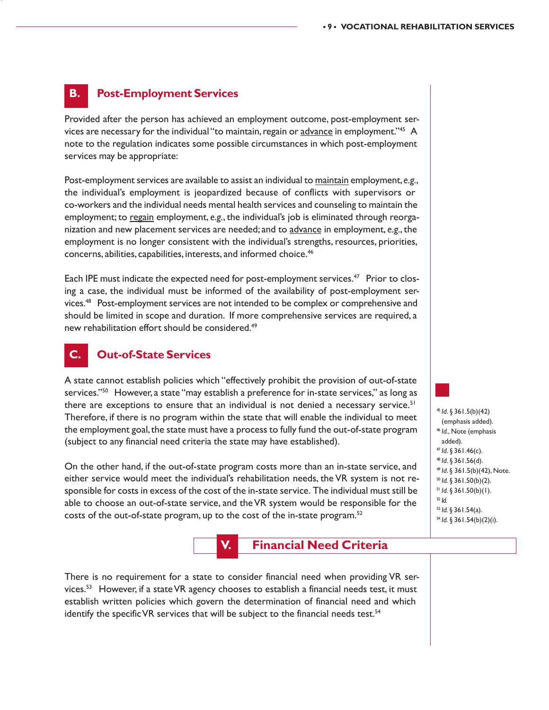#### **B. Post-Employment Services**

Provided after the person has achieved an employment outcome, post-employment services are necessary for the individual "to maintain, regain or advance in employment."<sup>45</sup> A note to the regulation indicates some possible circumstances in which post-employment services may be appropriate:

Post-employment services are available to assist an individual to maintain employment, *e.g.*, the individual's employment is jeopardized because of conflicts with supervisors or co-workers and the individual needs mental health services and counseling to maintain the employment; to regain employment, *e.g.*, the individual's job is eliminated through reorganization and new placement services are needed; and to advance in employment, *e.g.*, the employment is no longer consistent with the individual's strengths, resources, priorities, concerns, abilities, capabilities, interests, and informed choice.46

Each IPE must indicate the expected need for post-employment services.47 Prior to closing a case, the individual must be informed of the availability of post-employment services.48 Post-employment services are not intended to be complex or comprehensive and should be limited in scope and duration. If more comprehensive services are required, a new rehabilitation effort should be considered.<sup>49</sup>

#### **C. Out-of-State Services**

A state cannot establish policies which "effectively prohibit the provision of out-of-state services."<sup>50</sup> However, a state "may establish a preference for in-state services," as long as there are exceptions to ensure that an individual is not denied a necessary service.<sup>51</sup> Therefore, if there is no program within the state that will enable the individual to meet the employment goal, the state must have a process to fully fund the out-of-state program (subject to any financial need criteria the state may have established).

On the other hand, if the out-of-state program costs more than an in-state service, and either service would meet the individual's rehabilitation needs, the VR system is not responsible for costs in excess of the cost of the in-state service. The individual must still be able to choose an out-of-state service, and the VR system would be responsible for the costs of the out-of-state program, up to the cost of the in-state program.<sup>52</sup>



#### **Financial Need Criteria**

There is no requirement for a state to consider financial need when providing VR services.53 However, if a state VR agency chooses to establish a financial needs test, it must establish written policies which govern the determination of financial need and which identify the specific VR services that will be subject to the financial needs test.<sup>54</sup>

 *Id*. § 361.5(b)(42) (emphasis added). *Id.*, Note (emphasis added). *Id*. § 361.46(c). *Id*. § 361.56(d). *Id*. § 361.5(b)(42), Note. *Id.* § 361.50(b)(2). *Id.* § 361.50(b)(1). <sup>52</sup> *Id. Id.* § 361.54(a). *Id.* § 361.54(b)(2)(i).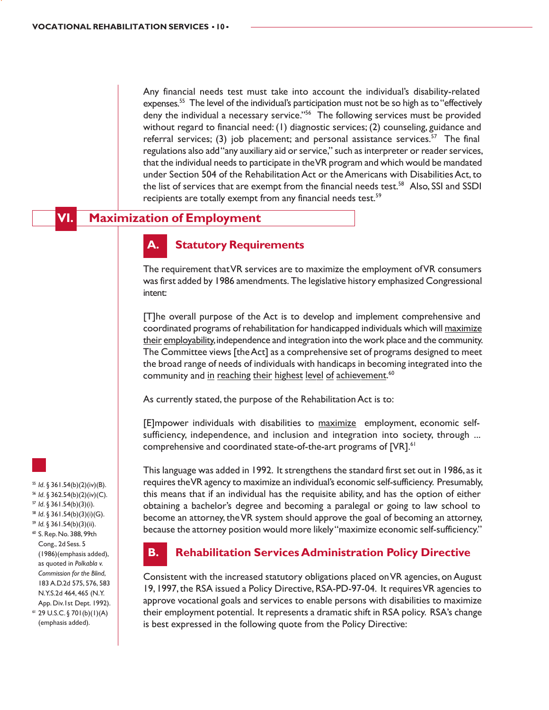Any financial needs test must take into account the individual's disability-related expenses.<sup>55</sup> The level of the individual's participation must not be so high as to "effectively deny the individual a necessary service."56 The following services must be provided without regard to financial need: (1) diagnostic services; (2) counseling, guidance and referral services; (3) job placement; and personal assistance services.<sup>57</sup> The final regulations also add "any auxiliary aid or service," such as interpreter or reader services, that the individual needs to participate in the VR program and which would be mandated under Section 504 of the Rehabilitation Act or the Americans with Disabilities Act, to the list of services that are exempt from the financial needs test.58 Also, SSI and SSDI recipients are totally exempt from any financial needs test.<sup>59</sup>

#### **VI. Maximization of Employment**

#### **Statutory Requirements**

The requirement that VR services are to maximize the employment of VR consumers was first added by 1986 amendments. The legislative history emphasized Congressional intent:

[T]he overall purpose of the Act is to develop and implement comprehensive and coordinated programs of rehabilitation for handicapped individuals which will maximize their employability, independence and integration into the work place and the community. The Committee views [the Act] as a comprehensive set of programs designed to meet the broad range of needs of individuals with handicaps in becoming integrated into the community and in reaching their highest level of achievement.<sup>60</sup>

As currently stated, the purpose of the Rehabilitation Act is to:

[E]mpower individuals with disabilities to maximize employment, economic selfsufficiency, independence, and inclusion and integration into society, through ... comprehensive and coordinated state-of-the-art programs of [VR].<sup>61</sup>

This language was added in 1992. It strengthens the standard first set out in 1986, as it requires the VR agency to maximize an individual's economic self-sufficiency. Presumably, this means that if an individual has the requisite ability, and has the option of either obtaining a bachelor's degree and becoming a paralegal or going to law school to become an attorney, the VR system should approve the goal of becoming an attorney, because the attorney position would more likely "maximize economic self-sufficiency."

#### **B. Rehabilitation Services Administration Policy Directive**

Consistent with the increased statutory obligations placed on VR agencies, on August 19, 1997, the RSA issued a Policy Directive, RSA-PD-97-04. It requires VR agencies to approve vocational goals and services to enable persons with disabilities to maximize their employment potential. It represents a dramatic shift in RSA policy. RSA's change is best expressed in the following quote from the Policy Directive:

- <sup>55</sup> *Id*. § 361.54(b)(2)(iv)(B). <sup>56</sup> *Id*. § 362.54(b)(2)(iv)(C).
- <sup>57</sup> *Id*. § 361.54(b)(3)(i).
- <sup>58</sup> *Id*. § 361.54(b)(3)(i)(G).
- <sup>59</sup> *Id.* § 361.54(b)(3)(ii).
- 60 S. Rep. No. 388, 99th Cong., 2d Sess. 5 (1986)(emphasis added), as quoted in *Polkabla v. Commission for the Blind*, 183 A.D.2d 575, 576, 583 N.Y.S.2d 464, 465 (N.Y. App. Div.1st Dept. 1992).
- $61$  29 U.S.C. § 701(b)(1)(A) (emphasis added).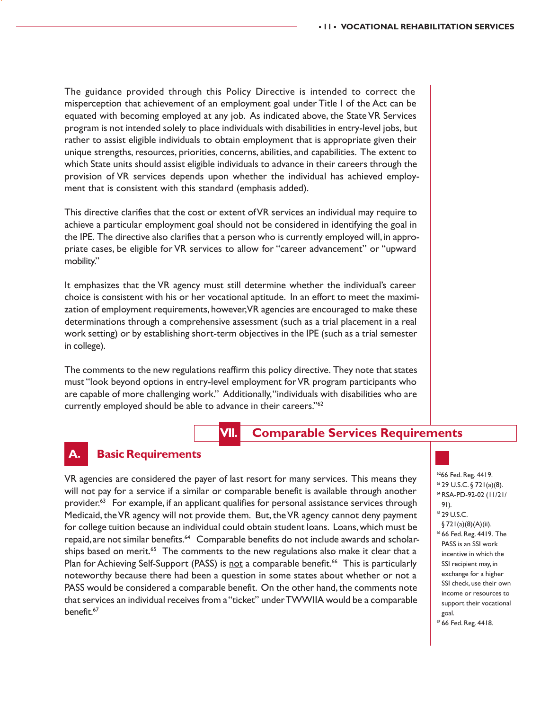The guidance provided through this Policy Directive is intended to correct the misperception that achievement of an employment goal under Title I of the Act can be equated with becoming employed at any job. As indicated above, the State VR Services program is not intended solely to place individuals with disabilities in entry-level jobs, but rather to assist eligible individuals to obtain employment that is appropriate given their unique strengths, resources, priorities, concerns, abilities, and capabilities. The extent to which State units should assist eligible individuals to advance in their careers through the provision of VR services depends upon whether the individual has achieved employment that is consistent with this standard (emphasis added).

This directive clarifies that the cost or extent of VR services an individual may require to achieve a particular employment goal should not be considered in identifying the goal in the IPE. The directive also clarifies that a person who is currently employed will, in appropriate cases, be eligible for VR services to allow for "career advancement" or "upward mobility."

It emphasizes that the VR agency must still determine whether the individual's career choice is consistent with his or her vocational aptitude. In an effort to meet the maximization of employment requirements, however, VR agencies are encouraged to make these determinations through a comprehensive assessment (such as a trial placement in a real work setting) or by establishing short-term objectives in the IPE (such as a trial semester in college).

The comments to the new regulations reaffirm this policy directive. They note that states must "look beyond options in entry-level employment for VR program participants who are capable of more challenging work." Additionally, "individuals with disabilities who are currently employed should be able to advance in their careers."62

#### **VII. Comparable Services Requirements**

#### **Basic Requirements**

VR agencies are considered the payer of last resort for many services. This means they will not pay for a service if a similar or comparable benefit is available through another provider.<sup>63</sup> For example, if an applicant qualifies for personal assistance services through Medicaid, the VR agency will not provide them. But, the VR agency cannot deny payment for college tuition because an individual could obtain student loans. Loans, which must be repaid, are not similar benefits.<sup>64</sup> Comparable benefits do not include awards and scholarships based on merit.<sup>65</sup> The comments to the new regulations also make it clear that a Plan for Achieving Self-Support (PASS) is not a comparable benefit.<sup>66</sup> This is particularly noteworthy because there had been a question in some states about whether or not a PASS would be considered a comparable benefit. On the other hand, the comments note that services an individual receives from a "ticket" under TWWIIA would be a comparable benefit.<sup>67</sup>

6266 Fed. Reg. 4419. 63 29 U.S.C. § 721(a)(8). 64 RSA-PD-92-02 (11/21/

- 91). 65 29 U.S.C.
- § 721(a)(8)(A)(ii).
- 66 66 Fed. Reg. 4419. The PASS is an SSI work incentive in which the SSI recipient may, in exchange for a higher SSI check, use their own income or resources to support their vocational goal.
- 67 66 Fed. Reg. 4418.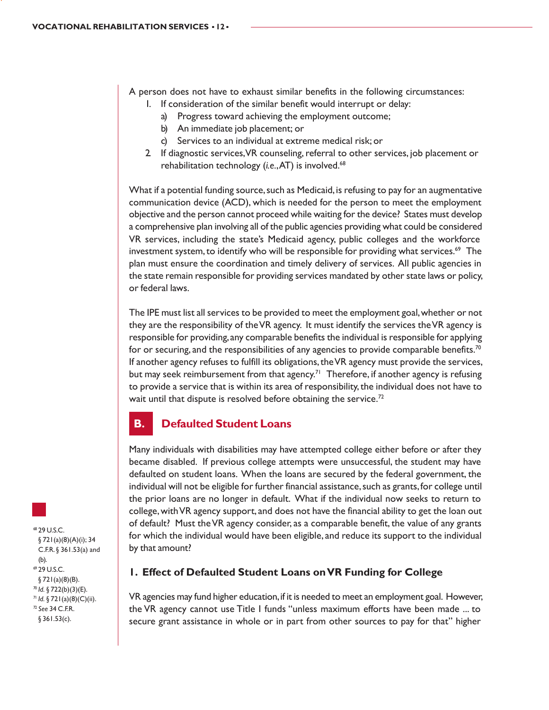A person does not have to exhaust similar benefits in the following circumstances:

- 1. If consideration of the similar benefit would interrupt or delay:
	- a) Progress toward achieving the employment outcome;
	- b) An immediate job placement; or
	- c) Services to an individual at extreme medical risk; or
- 2. If diagnostic services, VR counseling, referral to other services, job placement or rehabilitation technology (*i.e.*, AT) is involved.<sup>68</sup>

What if a potential funding source, such as Medicaid, is refusing to pay for an augmentative communication device (ACD), which is needed for the person to meet the employment objective and the person cannot proceed while waiting for the device? States must develop a comprehensive plan involving all of the public agencies providing what could be considered VR services, including the state's Medicaid agency, public colleges and the workforce investment system, to identify who will be responsible for providing what services.<sup>69</sup> The plan must ensure the coordination and timely delivery of services. All public agencies in the state remain responsible for providing services mandated by other state laws or policy, or federal laws.

The IPE must list all services to be provided to meet the employment goal, whether or not they are the responsibility of the VR agency. It must identify the services the VR agency is responsible for providing, any comparable benefits the individual is responsible for applying for or securing, and the responsibilities of any agencies to provide comparable benefits.<sup>70</sup> If another agency refuses to fulfill its obligations, the VR agency must provide the services, but may seek reimbursement from that agency.<sup>71</sup> Therefore, if another agency is refusing to provide a service that is within its area of responsibility, the individual does not have to wait until that dispute is resolved before obtaining the service.<sup>72</sup>

#### **B. Defaulted Student Loans**

Many individuals with disabilities may have attempted college either before or after they became disabled. If previous college attempts were unsuccessful, the student may have defaulted on student loans. When the loans are secured by the federal government, the individual will not be eligible for further financial assistance, such as grants, for college until the prior loans are no longer in default. What if the individual now seeks to return to college, with VR agency support, and does not have the financial ability to get the loan out of default? Must the VR agency consider, as a comparable benefit, the value of any grants for which the individual would have been eligible, and reduce its support to the individual by that amount?

#### **1. Effect of Defaulted Student Loans on VR Funding for College**

VR agencies may fund higher education, if it is needed to meet an employment goal. However, the VR agency cannot use Title I funds "unless maximum efforts have been made ... to secure grant assistance in whole or in part from other sources to pay for that" higher

68 29 U.S.C. § 721(a)(8)(A)(i); 34 C.F.R. § 361.53(a) and (b). 69 29 U.S.C. § 721(a)(8)(B). <sup>70</sup> *Id.* § 722(b)(3)(E). <sup>71</sup> *Id.* § 721(a)(8)(C)(ii). <sup>72</sup> *See* 34 C.F.R. § 361.53(c).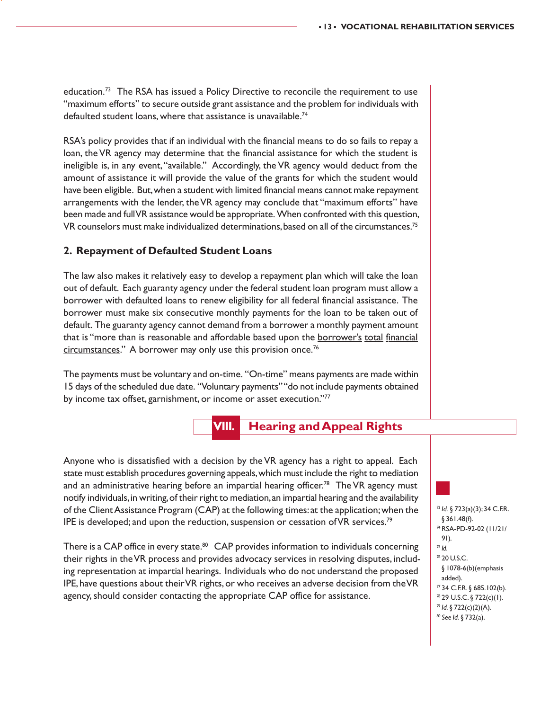education.73 The RSA has issued a Policy Directive to reconcile the requirement to use "maximum efforts" to secure outside grant assistance and the problem for individuals with defaulted student loans, where that assistance is unavailable.<sup>74</sup>

RSA's policy provides that if an individual with the financial means to do so fails to repay a loan, the VR agency may determine that the financial assistance for which the student is ineligible is, in any event, "available." Accordingly, the VR agency would deduct from the amount of assistance it will provide the value of the grants for which the student would have been eligible. But, when a student with limited financial means cannot make repayment arrangements with the lender, the VR agency may conclude that "maximum efforts" have been made and full VR assistance would be appropriate. When confronted with this question, VR counselors must make individualized determinations, based on all of the circumstances.75

#### **2. Repayment of Defaulted Student Loans**

The law also makes it relatively easy to develop a repayment plan which will take the loan out of default. Each guaranty agency under the federal student loan program must allow a borrower with defaulted loans to renew eligibility for all federal financial assistance. The borrower must make six consecutive monthly payments for the loan to be taken out of default. The guaranty agency cannot demand from a borrower a monthly payment amount that is "more than is reasonable and affordable based upon the borrower's total financial circumstances." A borrower may only use this provision once.<sup>76</sup>

The payments must be voluntary and on-time. "On-time" means payments are made within 15 days of the scheduled due date. "Voluntary payments" "do not include payments obtained by income tax offset, garnishment, or income or asset execution."77



Anyone who is dissatisfied with a decision by the VR agency has a right to appeal. Each state must establish procedures governing appeals, which must include the right to mediation and an administrative hearing before an impartial hearing officer.<sup>78</sup> The VR agency must notify individuals, in writing, of their right to mediation, an impartial hearing and the availability of the Client Assistance Program (CAP) at the following times: at the application; when the IPE is developed; and upon the reduction, suspension or cessation of VR services.79

There is a CAP office in every state.<sup>80</sup> CAP provides information to individuals concerning their rights in the VR process and provides advocacy services in resolving disputes, including representation at impartial hearings. Individuals who do not understand the proposed IPE, have questions about their VR rights, or who receives an adverse decision from the VR agency, should consider contacting the appropriate CAP office for assistance.

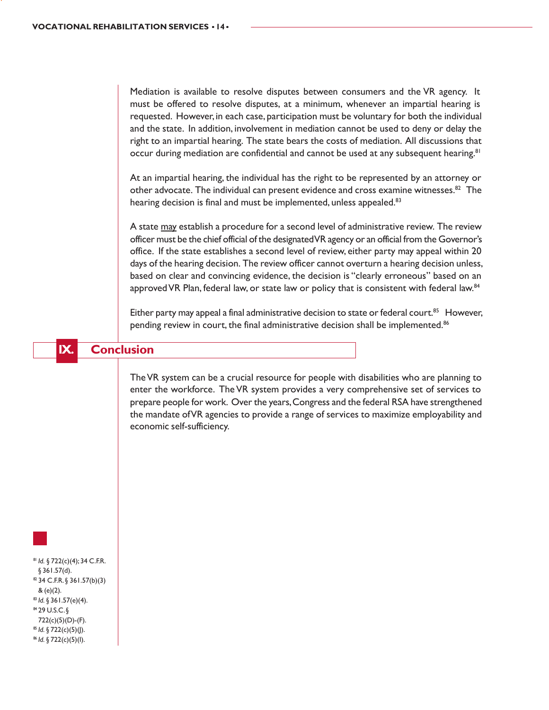Mediation is available to resolve disputes between consumers and the VR agency. It must be offered to resolve disputes, at a minimum, whenever an impartial hearing is requested. However, in each case, participation must be voluntary for both the individual and the state. In addition, involvement in mediation cannot be used to deny or delay the right to an impartial hearing. The state bears the costs of mediation. All discussions that occur during mediation are confidential and cannot be used at any subsequent hearing.<sup>81</sup>

At an impartial hearing, the individual has the right to be represented by an attorney or other advocate. The individual can present evidence and cross examine witnesses.<sup>82</sup> The hearing decision is final and must be implemented, unless appealed.<sup>83</sup>

A state may establish a procedure for a second level of administrative review. The review officer must be the chief official of the designated VR agency or an official from the Governor's office. If the state establishes a second level of review, either party may appeal within 20 days of the hearing decision. The review officer cannot overturn a hearing decision unless, based on clear and convincing evidence, the decision is "clearly erroneous" based on an approved VR Plan, federal law, or state law or policy that is consistent with federal law.<sup>84</sup>

Either party may appeal a final administrative decision to state or federal court.<sup>85</sup> However, pending review in court, the final administrative decision shall be implemented.<sup>86</sup>

**IX. Conclusion**

The VR system can be a crucial resource for people with disabilities who are planning to enter the workforce. The VR system provides a very comprehensive set of services to prepare people for work. Over the years, Congress and the federal RSA have strengthened the mandate of VR agencies to provide a range of services to maximize employability and economic self-sufficiency.

<sup>81</sup> *Id.* § 722(c)(4); 34 C.F.R. § 361.57(d). 82 34 C.F.R. § 361.57(b)(3) & (e)(2). <sup>83</sup> *Id.* § 361.57(e)(4). 84 29 U.S.C. § 722(c)(5)(D)-(F). <sup>85</sup> *Id.* § 722(c)(5)(J). <sup>86</sup> *Id.* § 722(c)(5)(I).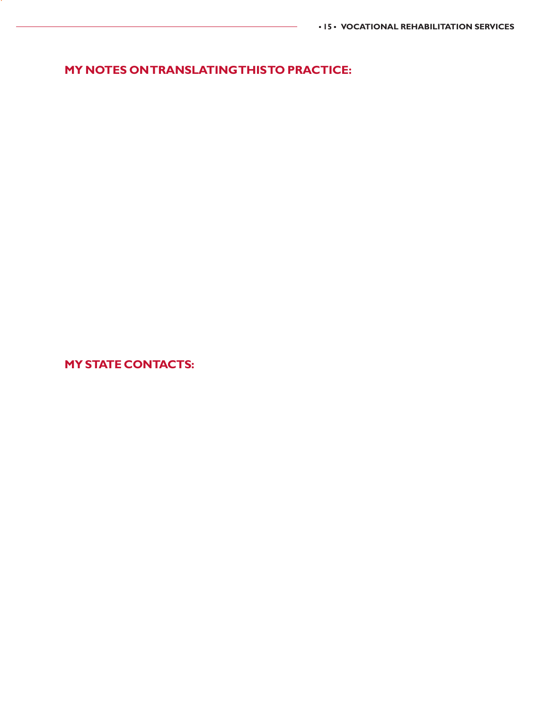**MY NOTES ON TRANSLATING THIS TO PRACTICE:**

**MY STATE CONTACTS:**